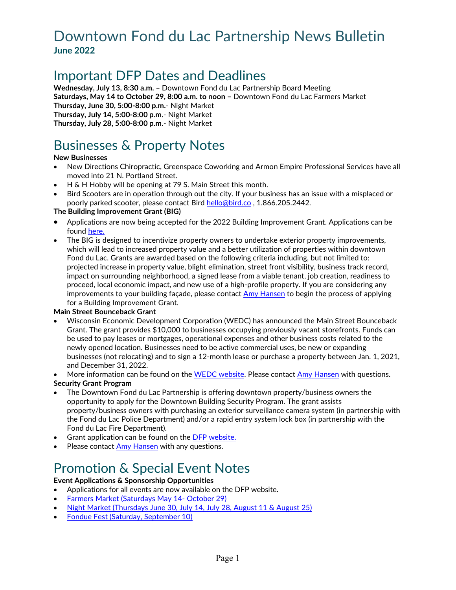## Downtown Fond du Lac Partnership News Bulletin **June 2022**

# Important DFP Dates and Deadlines

**Wednesday, July 13, 8:30 a.m. –** Downtown Fond du Lac Partnership Board Meeting **Saturdays, May 14 to October 29, 8:00 a.m. to noon –** Downtown Fond du Lac Farmers Market **Thursday, June 30, 5:00-8:00 p.m.**- Night Market **Thursday, July 14, 5:00-8:00 p.m.**- Night Market **Thursday, July 28, 5:00-8:00 p.m.**- Night Market

# Businesses & Property Notes

### **New Businesses**

- New Directions Chiropractic, Greenspace Coworking and Armon Empire Professional Services have all moved into 21 N. Portland Street.
- H & H Hobby will be opening at 79 S. Main Street this month.
- Bird Scooters are in operation through out the city. If your business has an issue with a misplaced or poorly parked scooter, please contact Bird [hello@bird.co](mailto:hello@bird.co) , 1.866.205.2442.

### **The Building Improvement Grant (BIG)**

- Applications are now being accepted for the 2022 Building Improvement Grant. Applications can be found [here.](https://downtownfdl.com/doing-business/financial-incentives/)
- The BIG is designed to incentivize property owners to undertake exterior property improvements, which will lead to increased property value and a better utilization of properties within downtown Fond du Lac. Grants are awarded based on the following criteria including, but not limited to: projected increase in property value, blight elimination, street front visibility, business track record, impact on surrounding neighborhood, a signed lease from a viable tenant, job creation, readiness to proceed, local economic impact, and new use of a high-profile property. If you are considering any improvements to your building façade, please contact [Amy Hansen](mailto:amy@downtownfdl.com) to begin the process of applying for a Building Improvement Grant.

### **Main Street Bounceback Grant**

- Wisconsin Economic Development Corporation (WEDC) has announced the Main Street Bounceback Grant. The grant provides \$10,000 to businesses occupying previously vacant storefronts. Funds can be used to pay leases or mortgages, operational expenses and other business costs related to the newly opened location. Businesses need to be active commercial uses, be new or expanding businesses (not relocating) and to sign a 12-month lease or purchase a property between Jan. 1, 2021, and December 31, 2022.
- More information can be found on the [WEDC website.](https://wedc.org/programs-and-resources/mainstreet-bounceback-grants/) Please contact [Amy Hansen](mailto:amy@downtownfdl.com) with questions. **Security Grant Program**
- The Downtown Fond du Lac Partnership is offering downtown property/business owners the opportunity to apply for the Downtown Building Security Program. The grant assists property/business owners with purchasing an exterior surveillance camera system (in partnership with the Fond du Lac Police Department) and/or a rapid entry system lock box (in partnership with the Fond du Lac Fire Department).
- Grant application can be found on th[e DFP website.](https://downtownfdl.com/doing-business/financial-incentives/)
- Please contact [Amy Hansen](mailto:amy@downtownfdl.com) with any questions.

# Promotion & Special Event Notes

### **Event Applications & Sponsorship Opportunities**

- Applications for all events are now available on the DFP website.
- [Farmers Market \(Saturdays May 14-](https://downtownfdl.com/farmers-market-vendors/) October 29)
- [Night Market \(Thursdays June 30, July 14, July 28, August 11 & August 25\)](https://downtownfdl.com/night-market-vendors/)
- [Fondue Fest \(Saturday, September 10\)](https://downtownfdl.com/fondue-fest-vendors/)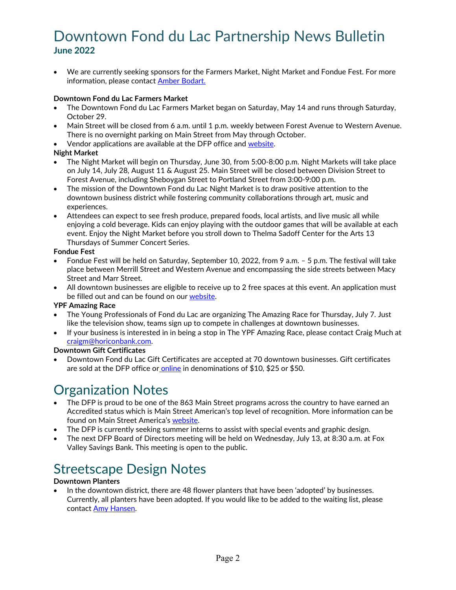# Downtown Fond du Lac Partnership News Bulletin **June 2022**

• We are currently seeking sponsors for the Farmers Market, Night Market and Fondue Fest. For more information, please contact [Amber Bodart.](mailto:amber@downtownfdl.com)

### **Downtown Fond du Lac Farmers Market**

- The Downtown Fond du Lac Farmers Market began on Saturday, May 14 and runs through Saturday, October 29.
- Main Street will be closed from 6 a.m. until 1 p.m. weekly between Forest Avenue to Western Avenue. There is no overnight parking on Main Street from May through October.
- Vendor applications are available at the DFP office and [website.](https://downtownfdl.com/farmers-market-vendors/)

#### **Night Market**

- The Night Market will begin on Thursday, June 30, from 5:00-8:00 p.m. Night Markets will take place on July 14, July 28, August 11 & August 25. Main Street will be closed between Division Street to Forest Avenue, including Sheboygan Street to Portland Street from 3:00-9:00 p.m.
- The mission of the Downtown Fond du Lac Night Market is to draw positive attention to the downtown business district while fostering community collaborations through art, music and experiences.
- Attendees can expect to see fresh produce, prepared foods, local artists, and live music all while enjoying a cold beverage. Kids can enjoy playing with the outdoor games that will be available at each event. Enjoy the Night Market before you stroll down to Thelma Sadoff Center for the Arts 13 Thursdays of Summer Concert Series.

#### **Fondue Fest**

- Fondue Fest will be held on Saturday, September 10, 2022, from 9 a.m. 5 p.m. The festival will take place between Merrill Street and Western Avenue and encompassing the side streets between Macy Street and Marr Street.
- All downtown businesses are eligible to receive up to 2 free spaces at this event. An application must be filled out and can be found on our [website.](https://downtownfdl.com/fondue-fest-vendors/)

#### **YPF Amazing Race**

- The Young Professionals of Fond du Lac are organizing The Amazing Race for Thursday, July 7. Just like the television show, teams sign up to compete in challenges at downtown businesses.
- If your business is interested in in being a stop in The YPF Amazing Race, please contact Craig Much at [craigm@horiconbank.com.](mailto:craigm@horiconbank.com)

#### **Downtown Gift Certificates**

• Downtown Fond du Lac Gift Certificates are accepted at 70 downtown businesses. Gift certificates are sold at the DFP office or [online](https://downtownfdl.com/doing-business/gift-certificates/) in denominations of \$10, \$25 or \$50.

## Organization Notes

- The DFP is proud to be one of the 863 Main Street programs across the country to have earned an Accredited status which is Main Street American's top level of recognition. More information can be found on Main Street America's [website.](https://www.mainstreet.org/blogs/national-main-street-center/2022/06/14/announcing-the-2022-main-street-america-designated)
- The DFP is currently seeking summer interns to assist with special events and graphic design.
- The next DFP Board of Directors meeting will be held on Wednesday, July 13, at 8:30 a.m. at Fox Valley Savings Bank. This meeting is open to the public.

# Streetscape Design Notes

#### **Downtown Planters**

• In the downtown district, there are 48 flower planters that have been 'adopted' by businesses. Currently, all planters have been adopted. If you would like to be added to the waiting list, please contact [Amy Hansen.](mailto:amy@downtownfdl.com)